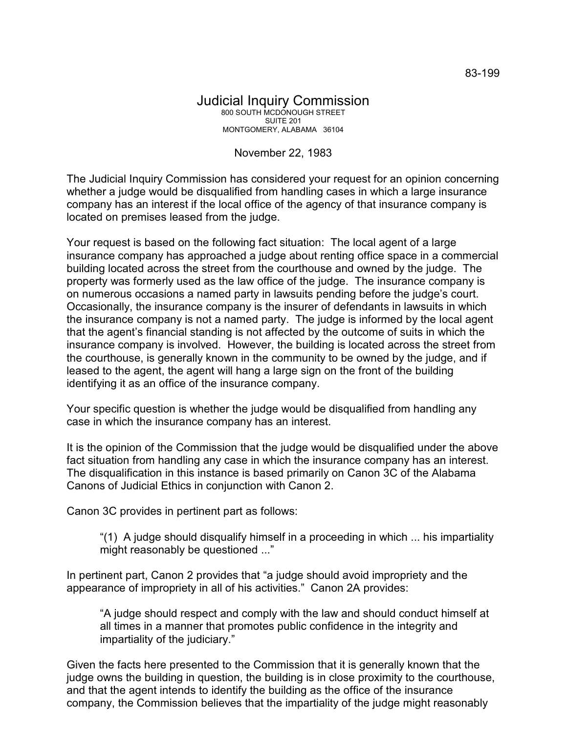## Judicial Inquiry Commission 800 SOUTH MCDONOUGH STREET SUITE 201 MONTGOMERY, ALABAMA 36104

## November 22, 1983

The Judicial Inquiry Commission has considered your request for an opinion concerning whether a judge would be disqualified from handling cases in which a large insurance company has an interest if the local office of the agency of that insurance company is located on premises leased from the judge.

Your request is based on the following fact situation: The local agent of a large insurance company has approached a judge about renting office space in a commercial building located across the street from the courthouse and owned by the judge. The property was formerly used as the law office of the judge. The insurance company is on numerous occasions a named party in lawsuits pending before the judge's court. Occasionally, the insurance company is the insurer of defendants in lawsuits in which the insurance company is not a named party. The judge is informed by the local agent that the agent's financial standing is not affected by the outcome of suits in which the insurance company is involved. However, the building is located across the street from the courthouse, is generally known in the community to be owned by the judge, and if leased to the agent, the agent will hang a large sign on the front of the building identifying it as an office of the insurance company.

Your specific question is whether the judge would be disqualified from handling any case in which the insurance company has an interest.

It is the opinion of the Commission that the judge would be disqualified under the above fact situation from handling any case in which the insurance company has an interest. The disqualification in this instance is based primarily on Canon 3C of the Alabama Canons of Judicial Ethics in conjunction with Canon 2.

Canon 3C provides in pertinent part as follows:

"(1) A judge should disqualify himself in a proceeding in which ... his impartiality might reasonably be questioned ..."

In pertinent part, Canon 2 provides that "a judge should avoid impropriety and the appearance of impropriety in all of his activities." Canon 2A provides:

"A judge should respect and comply with the law and should conduct himself at all times in a manner that promotes public confidence in the integrity and impartiality of the judiciary."

Given the facts here presented to the Commission that it is generally known that the judge owns the building in question, the building is in close proximity to the courthouse, and that the agent intends to identify the building as the office of the insurance company, the Commission believes that the impartiality of the judge might reasonably